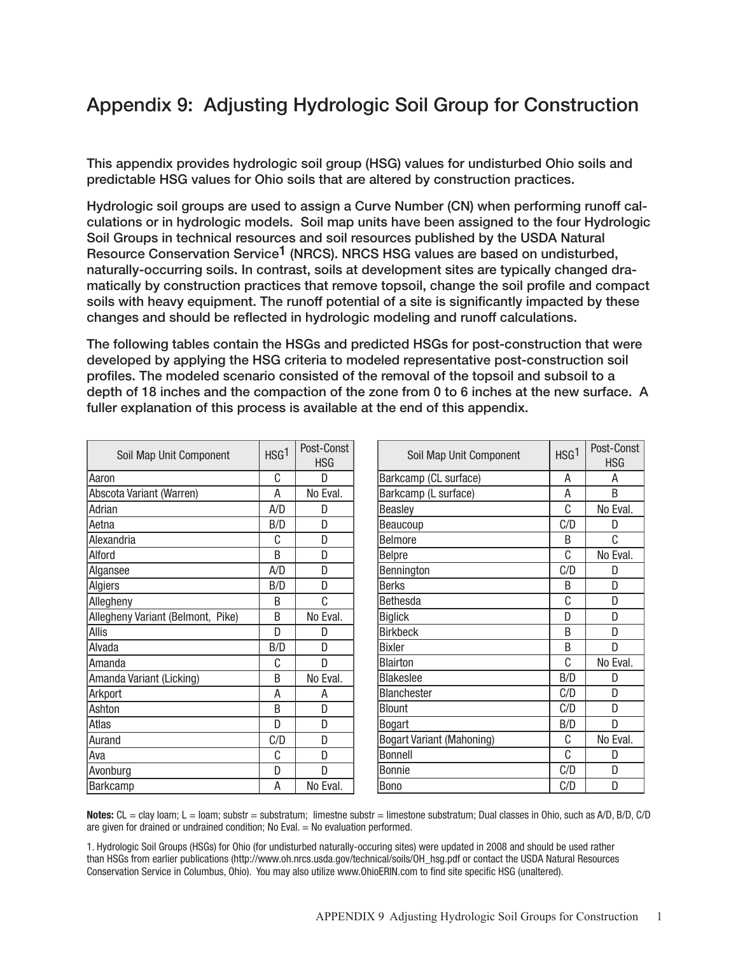## Appendix 9: Adjusting Hydrologic Soil Group for Construction

This appendix provides hydrologic soil group (HSG) values for undisturbed Ohio soils and predictable HSG values for Ohio soils that are altered by construction practices.

Hydrologic soil groups are used to assign a Curve Number (CN) when performing runoff calculations or in hydrologic models. Soil map units have been assigned to the four Hydrologic Soil Groups in technical resources and soil resources published by the USDA Natural Resource Conservation Service<sup>1</sup> (NRCS). NRCS HSG values are based on undisturbed, naturally-occurring soils. In contrast, soils at development sites are typically changed dramatically by construction practices that remove topsoil, change the soil profile and compact soils with heavy equipment. The runoff potential of a site is significantly impacted by these changes and should be reflected in hydrologic modeling and runoff calculations.

The following tables contain the HSGs and predicted HSGs for post-construction that were developed by applying the HSG criteria to modeled representative post-construction soil profiles. The modeled scenario consisted of the removal of the topsoil and subsoil to a depth of 18 inches and the compaction of the zone from 0 to 6 inches at the new surface. A fuller explanation of this process is available at the end of this appendix.

| Soil Map Unit Component           | HSG <sup>1</sup> | Post-Const<br><b>HSG</b> | Soil Map Unit Component          | HSG <sup>1</sup> | Post-Const<br><b>HSG</b> |
|-----------------------------------|------------------|--------------------------|----------------------------------|------------------|--------------------------|
| Aaron                             | C                | D                        | Barkcamp (CL surface)            | A                | Α                        |
| Abscota Variant (Warren)          | А                | No Eval.                 | Barkcamp (L surface)             | Α                | B                        |
| Adrian                            | A/D              | D                        | Beasley                          | C                | No Eval.                 |
| Aetna                             | B/D              | D                        | Beaucoup                         | C/D              | D                        |
| Alexandria                        | С                | D                        | <b>Belmore</b>                   | B                | C                        |
| Alford                            | <sub>B</sub>     | D                        | <b>Belpre</b>                    | C                | No Eval.                 |
| Algansee                          | A/D              | D                        | Bennington                       | C/D              | D                        |
| Algiers                           | B/D              | D                        | <b>Berks</b>                     | B                | D                        |
| Allegheny                         | B                | C                        | <b>Bethesda</b>                  | C                | D                        |
| Allegheny Variant (Belmont, Pike) | B                | No Eval.                 | <b>Biglick</b>                   | D                | D                        |
| Allis                             | D                | D                        | <b>Birkbeck</b>                  | B                | D                        |
| Alvada                            | B/D              | D                        | <b>Bixler</b>                    | B                | D                        |
| lAmanda                           | С                | D                        | <b>Blairton</b>                  | C                | No Eval.                 |
| Amanda Variant (Licking)          | B                | No Eval.                 | <b>Blakeslee</b>                 | B/D              | D                        |
| Arkport                           | А                | A                        | <b>Blanchester</b>               | C/D              | D                        |
| Ashton                            | B                | D                        | <b>Blount</b>                    | C/D              | D                        |
| Atlas                             | D                | D                        | <b>Bogart</b>                    | B/D              | D                        |
| Aurand                            | C/D              | D                        | <b>Bogart Variant (Mahoning)</b> | С                | No Eval.                 |
| Ava                               | C                | D                        | <b>Bonnell</b>                   | C                | D                        |
| Avonburg                          | D                | D                        | <b>Bonnie</b>                    | C/D              | D                        |
| <b>Barkcamp</b>                   | A                | No Eval.                 | Bono                             | C/D              | D                        |

Notes:  $CL = \text{clay loan}$ ;  $L = \text{loam}$ ; substr = substratum; limestne substr = limestone substratum; Dual classes in Ohio, such as A/D, B/D, C/D are given for drained or undrained condition; No Eval. = No evaluation performed.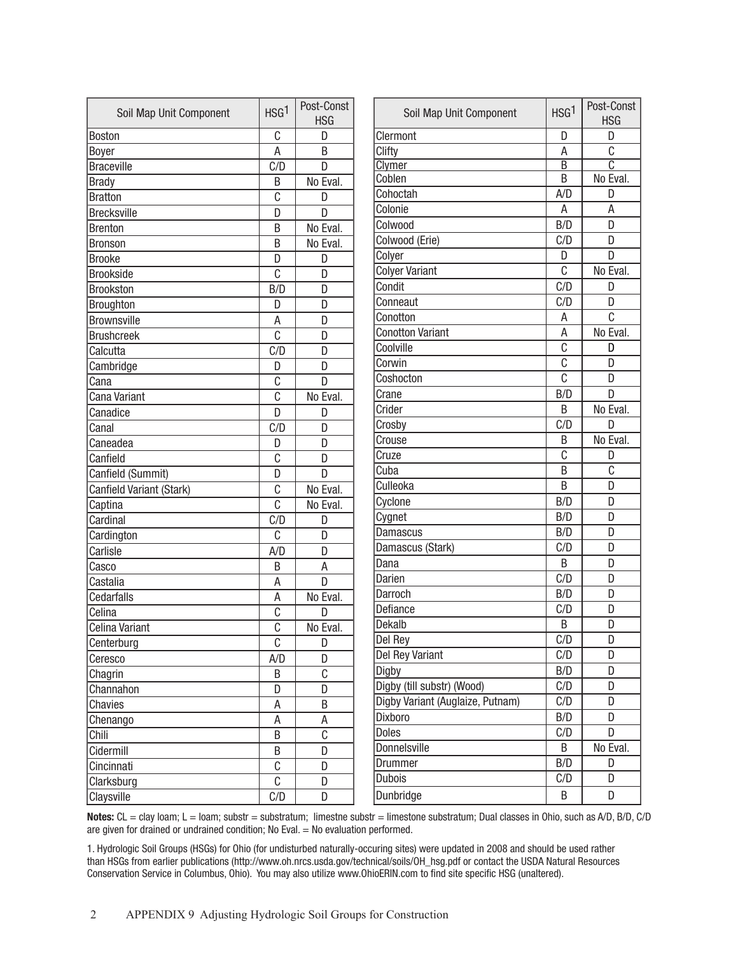| Soil Map Unit Component  | HSG <sup>1</sup> | Post-Const<br><b>HSG</b> | Soil Map Unit Component          | HSG <sup>1</sup> | Post-Const<br><b>HSG</b> |
|--------------------------|------------------|--------------------------|----------------------------------|------------------|--------------------------|
| Boston                   | С                | D                        | Clermont                         | D                | D                        |
| <b>Boyer</b>             | Α                | B                        | Clifty                           | A                | C                        |
| <b>Braceville</b>        | C/D              | D                        | Clymer                           | $\overline{B}$   | $\overline{\mathbb{C}}$  |
| <b>Brady</b>             | B                | No Eval.                 | Coblen                           | B                | No Eval.                 |
| <b>Bratton</b>           | C                | D                        | Cohoctah                         | A/D              | D                        |
| <b>Brecksville</b>       | D                | D                        | Colonie                          | Α                | A                        |
| <b>Brenton</b>           | B                | No Eval.                 | Colwood                          | B/D              | D                        |
| <b>Bronson</b>           | B                | No Eval.                 | Colwood (Erie)                   | C/D              | D                        |
| <b>Brooke</b>            | D                | D                        | Colyer                           | D                | D                        |
| <b>Brookside</b>         | C                | D                        | <b>Colyer Variant</b>            | C                | No Eval.                 |
| Brookston                | B/D              | D                        | Condit                           | C/D              | D                        |
| Broughton                | D                | D                        | Conneaut                         | C/D              | D                        |
| Brownsville              | Α                | D                        | Conotton                         | A                | $\overline{C}$           |
| <b>Brushcreek</b>        | $\overline{c}$   | D                        | <b>Conotton Variant</b>          | A                | No Eval.                 |
| Calcutta                 | C/D              | D                        | Coolville                        | C                | D                        |
| Cambridge                | D                | D                        | Corwin                           | C                | D                        |
| Cana                     | C                | D                        | Coshocton                        | C                | D                        |
| Cana Variant             | C                | No Eval.                 | Crane                            | B/D              | D                        |
| Canadice                 | D                | D                        | Crider                           | B                | No Eval.                 |
| Canal                    | C/D              | D                        | Crosby                           | C/D              | D                        |
| Caneadea                 | D                | D                        | Crouse                           | B                | No Eval.                 |
| Canfield                 | C                | D                        | Cruze                            | C                | D                        |
| Canfield (Summit)        | D                | D                        | Cuba                             | B                | $\mathsf C$              |
| Canfield Variant (Stark) | $\overline{C}$   | No Eval.                 | Culleoka                         | B                | D                        |
| Captina                  | C                | No Eval.                 | Cyclone                          | B/D              | D                        |
| Cardinal                 | C/D              | D                        | Cygnet                           | B/D              | D                        |
| Cardington               | $\overline{C}$   | D                        | Damascus                         | B/D              | D                        |
| Carlisle                 | A/D              | D                        | Damascus (Stark)                 | C/D              | D                        |
| Casco                    | B                | A                        | Dana                             | B                | D                        |
| Castalia                 | Α                | D                        | Darien                           | C/D              | D                        |
| Cedarfalls               | A                | No Eval.                 | Darroch                          | B/D              | D                        |
| Celina                   | C                | D                        | Defiance                         | C/D              | D                        |
| Celina Variant           | $\overline{C}$   | No Eval.                 | Dekalb                           | Β                | D                        |
| Centerburg               | C                | D                        | Del Rey                          | C/D              | D                        |
| Ceresco                  | A/D              | D                        | Del Rey Variant                  | C/D              | D                        |
| Chagrin                  | B                | $\mathbb C$              | Digby                            | B/D              | D                        |
| Channahon                | D                | D                        | Digby (till substr) (Wood)       | C/D              | D                        |
| Chavies                  | А                | $\sf B$                  | Digby Variant (Auglaize, Putnam) | C/D              | D                        |
| Chenango                 | А                | $\sf A$                  | Dixboro                          | B/D              | D                        |
| Chili                    | B                | $\mathbb{C}$             | <b>Doles</b>                     | C/D              | D                        |
| Cidermill                | B                | D                        | Donnelsville                     | B                | No Eval.                 |
| Cincinnati               | $\mathbb C$      | D                        | Drummer                          | B/D              | D                        |
| Clarksburg               | C                | D                        | <b>Dubois</b>                    | C/D              | D                        |
| Claysville               | C/D              | D                        | Dunbridge                        | B                | D                        |

Notes: CL = clay loam; L = loam; substr = substratum; limestne substr = limestone substratum; Dual classes in Ohio, such as A/D, B/D, C/D are given for drained or undrained condition; No Eval. = No evaluation performed.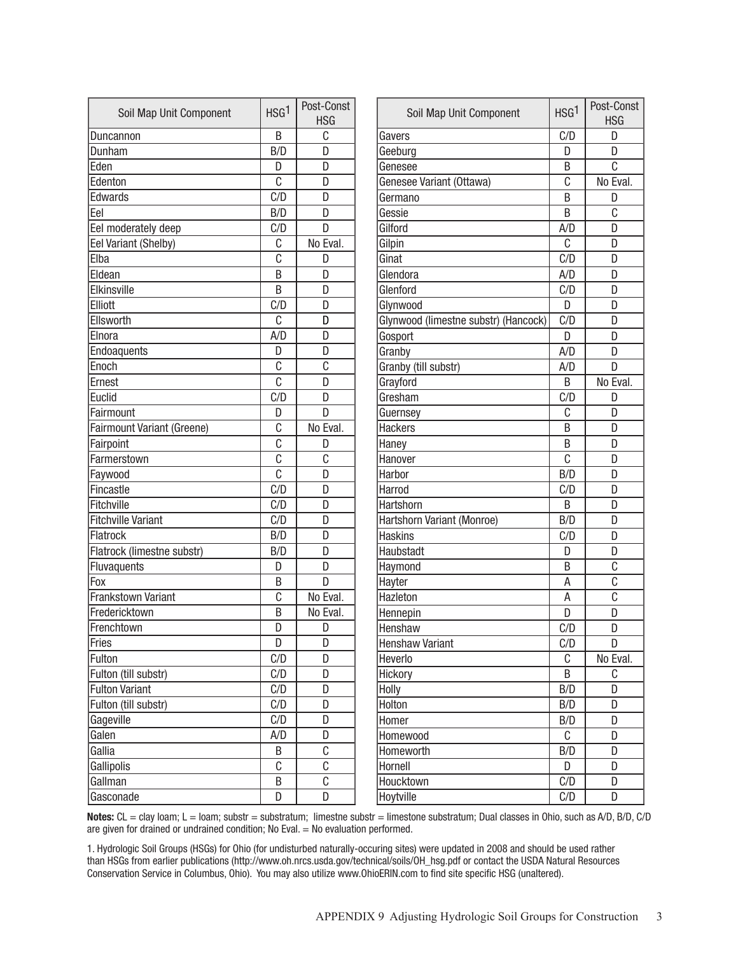| Soil Map Unit Component    | HSG <sup>1</sup>          | Post-Const<br><b>HSG</b> | č                 |
|----------------------------|---------------------------|--------------------------|-------------------|
| Duncannon                  | B                         | C                        | Gavers            |
| Dunham                     | B/D                       | D                        | Geebur            |
| Eden                       | D                         | D                        | Genese            |
| Edenton                    | C                         | D                        | Genese            |
| Edwards                    | C/D                       | D                        | Germai            |
| Eel                        | B/D                       | D                        | Gessie            |
| Eel moderately deep        | C/D                       | D                        | Gilford           |
| Eel Variant (Shelby)       | С                         | No Eval.                 | Gilpin            |
| Elba                       | C                         | D                        | Ginat             |
| Eldean                     | B                         | D                        | Glendo            |
| Elkinsville                | B                         | D                        | Glenfor           |
| Elliott                    | C/D                       | D                        | Glynwc            |
| Ellsworth                  | C                         | D                        | Glynwc            |
| Elnora                     | A/D                       | D                        | Gospor            |
| Endoaquents                | D                         | D                        | Granby            |
| Enoch                      | C                         | C                        | Granby            |
| Ernest                     | C                         | D                        | Grayfor           |
| Euclid                     | C/D                       | D                        | Gresha            |
| Fairmount                  | D                         | D                        | Guerns            |
| Fairmount Variant (Greene) | C                         | No Eval.                 | Hacker            |
| Fairpoint                  | $\overline{c}$            | D                        | Haney             |
| Farmerstown                | $\overline{\mathfrak{c}}$ | C                        | Hanove            |
| Faywood                    | $\overline{c}$            | D                        | Harbor            |
| Fincastle                  | C/D                       | D                        | Harrod            |
| Fitchville                 | C/D                       | D                        | Hartsho           |
| <b>Fitchville Variant</b>  | C/D                       | D                        | Hartsho           |
| Flatrock                   | B/D                       | D                        | Haskin            |
| Flatrock (limestne substr) | B/D                       | D                        | Haubst            |
| Fluvaquents                | D                         | D                        | Haymo             |
| Fox                        | B                         | D                        | Hayter            |
| <b>Frankstown Variant</b>  | C                         | No Eval.                 | Hazleto           |
| Fredericktown              | B                         | No Eval.                 | Hennep            |
| Frenchtown                 | D                         | D                        | Hensha            |
| Fries                      | D                         | D                        | Hensha            |
| Fulton                     | C/D                       | D                        | Heverlo           |
| Fulton (till substr)       | C/D                       | D                        | <b>Hickory</b>    |
| <b>Fulton Variant</b>      | C/D                       | D                        | Holly             |
| Fulton (till substr)       | C/D                       | D                        | Holton            |
| Gageville                  | C/D                       | D                        | Homer             |
| Galen                      | A/D                       | D                        | Homev             |
| Gallia                     | Β                         | C                        | Homev             |
|                            | C                         | С                        |                   |
| Gallman                    | B                         | C                        |                   |
| Gasconade                  | D                         | D                        | Hoytvill          |
| Gallipolis                 |                           |                          | Hornell<br>Houckt |

| Soil Map Unit Component              | HSG <sup>1</sup> | Post-Const<br><b>HSG</b> |
|--------------------------------------|------------------|--------------------------|
| Gavers                               | C/D              | D                        |
| Geeburg                              | D                | D                        |
| Genesee                              | B                | C                        |
| Genesee Variant (Ottawa)             | C                | No Eval.                 |
| Germano                              | B                | D                        |
| Gessie                               | B                | C                        |
| Gilford                              | A/D              | D                        |
| Gilpin                               | C                | D                        |
| Ginat                                | C/D              | D                        |
| Glendora                             | A/D              | D                        |
| Glenford                             | C/D              | D                        |
| Glynwood                             | D                | D                        |
| Glynwood (limestne substr) (Hancock) | C/D              | D                        |
| Gosport                              | D                | D                        |
| Granby                               | A/D              | D                        |
| Granby (till substr)                 | A/D              | D                        |
| Grayford                             | B                | No Eval.                 |
| Gresham                              | C/D              | D                        |
| Guernsey                             | C                | D                        |
| <b>Hackers</b>                       | B                | D                        |
| Haney                                | B                | D                        |
| Hanover                              | C                | D                        |
| Harbor                               | B/D              | D                        |
| Harrod                               | C/D              | D                        |
| Hartshorn                            | B                | D                        |
| Hartshorn Variant (Monroe)           | B/D              | D                        |
| <b>Haskins</b>                       | C/D              | D                        |
| Haubstadt                            | D                | D                        |
| Haymond                              | B                | C                        |
| Hayter                               | Α                | C                        |
| Hazleton                             | A                | C                        |
| Hennepin                             | D                | D                        |
| Henshaw                              | C/D              | D                        |
| <b>Henshaw Variant</b>               | C/D              | D                        |
| Heverlo                              | C                | No Eval.                 |
| Hickory                              | B                | C                        |
| Holly                                | B/D              | D                        |
| Holton                               | B/D              | D                        |
| Homer                                | B/D              | D                        |
| Homewood                             | С                | D                        |
| Homeworth                            | B/D              | D                        |
| Hornell                              | D                | D                        |
| Houcktown                            | C/D              | D                        |
| Hoytville                            | C/D              | D                        |

Notes: CL = clay loam; L = loam; substr = substratum; limestne substr = limestone substratum; Dual classes in Ohio, such as A/D, B/D, C/D are given for drained or undrained condition; No Eval. = No evaluation performed.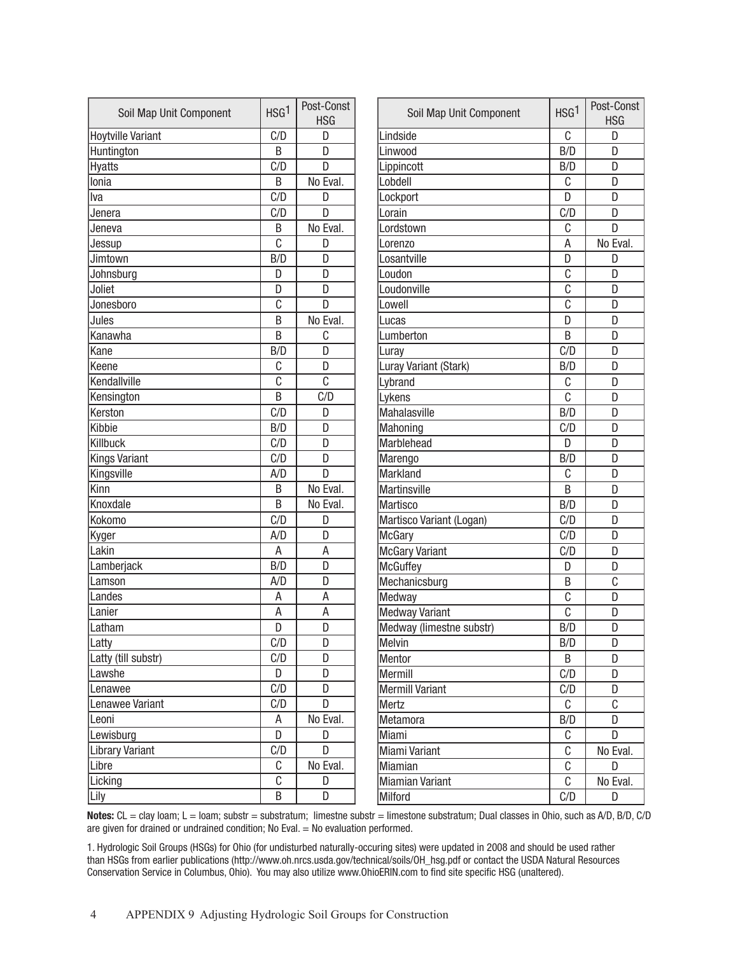| Soil Map Unit Component  | HSG <sup>1</sup> | Post-Const<br><b>HSG</b> | Soil Map Unit Component  | HSG <sup>1</sup> | Post-Const<br><b>HSG</b> |
|--------------------------|------------------|--------------------------|--------------------------|------------------|--------------------------|
| <b>Hoytville Variant</b> | C/D              | D                        | Lindside                 | C                | D                        |
| Huntington               | B                | D                        | Linwood                  | B/D              | D                        |
| <b>Hyatts</b>            | C/D              | D                        | Lippincott               | B/D              | D                        |
| Ionia                    | B                | No Eval.                 | Lobdell                  | $\mathsf C$      | D                        |
| Iva                      | C/D              | D                        | Lockport                 | D                | D                        |
| Jenera                   | C/D              | D                        | Lorain                   | C/D              | D                        |
| Jeneva                   | B                | No Eval.                 | Lordstown                | С                | D                        |
| Jessup                   | C                | D                        | Lorenzo                  | А                | No Eval.                 |
| Jimtown                  | B/D              | D                        | Losantville              | D                | D                        |
| Johnsburg                | D                | D                        | Loudon                   | C                | D                        |
| Joliet                   | D                | D                        | Loudonville              | C                | D                        |
| Jonesboro                | C                | D                        | Lowell                   | C                | D                        |
| Jules                    | B                | No Eval.                 | Lucas                    | D                | D                        |
| Kanawha                  | B                | C                        | Lumberton                | B                | D                        |
| Kane                     | B/D              | D                        | Luray                    | C/D              | D                        |
| Keene                    | C                | D                        | Luray Variant (Stark)    | B/D              | D                        |
| Kendallville             | C                | C                        | Lybrand                  | C                | D                        |
| Kensington               | B                | C/D                      | Lykens                   | C                | D                        |
| Kerston                  | C/D              | D                        | Mahalasville             | B/D              | D                        |
| Kibbie                   | B/D              | D                        | Mahoning                 | C/D              | D                        |
| Killbuck                 | C/D              | D                        | Marblehead               | D                | D                        |
| <b>Kings Variant</b>     | C/D              | D                        | Marengo                  | B/D              | D                        |
| Kingsville               | A/D              | D                        | <b>Markland</b>          | C                | D                        |
| Kinn                     | B                | No Eval.                 | <b>Martinsville</b>      | B                | D                        |
| Knoxdale                 | B                | No Eval.                 | Martisco                 | B/D              | D                        |
| Kokomo                   | C/D              | D                        | Martisco Variant (Logan) | C/D              | D                        |
| Kyger                    | A/D              | D                        | <b>McGary</b>            | C/D              | D                        |
| Lakin                    | Α                | Α                        | <b>McGary Variant</b>    | C/D              | D                        |
| Lamberjack               | B/D              | D                        | <b>McGuffey</b>          | D                | D                        |
| Lamson                   | A/D              | D                        | Mechanicsburg            | B                | C                        |
| Landes                   | Α                | A                        | Medway                   | C                | D                        |
| Lanier                   | А                | Α                        | <b>Medway Variant</b>    | C                | D                        |
| Latham                   | D                | D                        | Medway (limestne substr) | B/D              | D                        |
| Latty                    | C/D              | D                        | Melvin                   | B/D              | D                        |
| Latty (till substr)      | C/D              | D                        | Mentor                   | B                | D                        |
| Lawshe                   | D                | D                        | Mermill                  | C/D              | D                        |
| Lenawee                  | C/D              | D                        | <b>Mermill Variant</b>   | C/D              | D                        |
| Lenawee Variant          | C/D              | D                        | Mertz                    | С                | $\mathbb C$              |
| Leoni                    | А                | No Eval.                 | Metamora                 | B/D              | D                        |
| Lewisburg                | D                | D                        | Miami                    | C                | D                        |
| <b>Library Variant</b>   | C/D              | D                        | Miami Variant            | C                | No Eval.                 |
| Libre                    | C                | No Eval.                 | Miamian                  | C                | D                        |
| Licking                  | C                | D                        | <b>Miamian Variant</b>   | C                | No Eval.                 |
| Lily                     | B                | D                        | Milford                  | C/D              | D                        |

Notes: CL = clay loam; L = loam; substr = substratum; limestne substr = limestone substratum; Dual classes in Ohio, such as A/D, B/D, C/D are given for drained or undrained condition; No Eval.  $=$  No evaluation performed.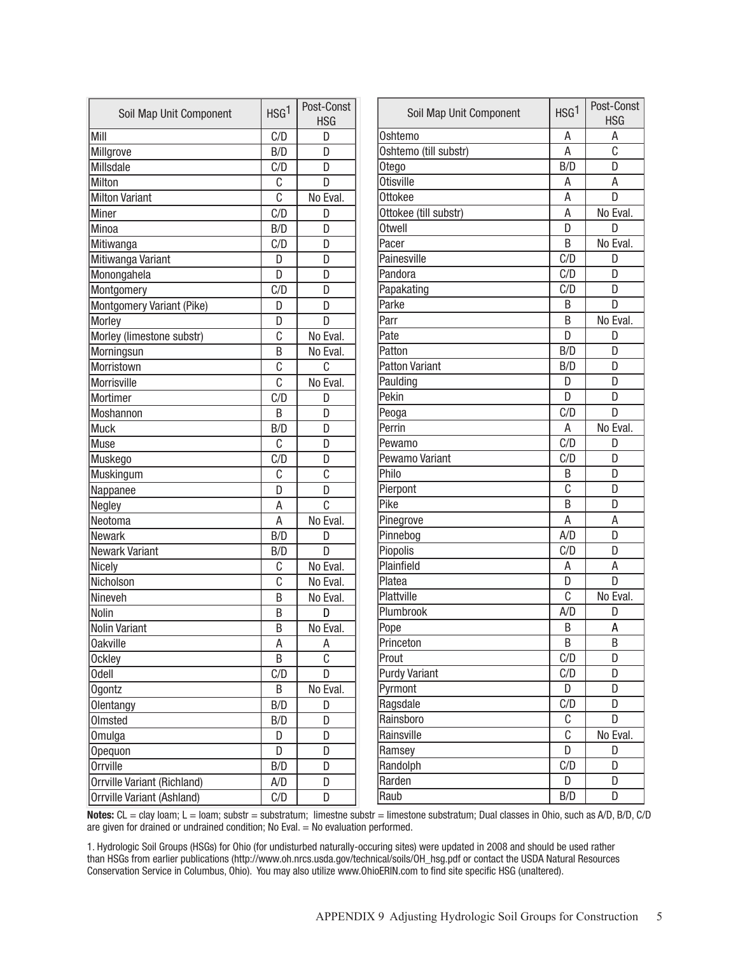| Soil Map Unit Component     | HSG <sup>1</sup> | Post-Const<br><b>HSG</b> | Soil Map Unit Component | HSG <sup>1</sup> | Post-Const<br><b>HSG</b> |
|-----------------------------|------------------|--------------------------|-------------------------|------------------|--------------------------|
| Mill                        | C/D              | D                        | Oshtemo                 | A                | А                        |
| Millgrove                   | B/D              | D                        | Oshtemo (till substr)   | Α                | C                        |
| Millsdale                   | C/D              | D                        | Otego                   | B/D              | D                        |
| Milton                      | C                | D                        | <b>Otisville</b>        | А                | A                        |
| Milton Variant              | $\overline{C}$   | No Eval.                 | Ottokee                 | Α                | D                        |
| Miner                       | C/D              | D                        | Ottokee (till substr)   | Α                | No Eval.                 |
| Minoa                       | B/D              | D                        | <b>Otwell</b>           | D                | D                        |
| Mitiwanga                   | C/D              | D                        | Pacer                   | B                | No Eval.                 |
| Mitiwanga Variant           | D                | D                        | Painesville             | C/D              | D                        |
| Monongahela                 | D                | D                        | Pandora                 | C/D              | D                        |
| Montgomery                  | C/D              | D                        | Papakating              | C/D              | D                        |
| Montgomery Variant (Pike)   | D                | D                        | Parke                   | B                | D                        |
| Morley                      | D                | $\overline{D}$           | Parr                    | B                | No Eval.                 |
| Morley (limestone substr)   | C                | No Eval.                 | Pate                    | D                | D                        |
| Morningsun                  | B                | No Eval.                 | Patton                  | B/D              | D                        |
| Morristown                  | C                | C                        | <b>Patton Variant</b>   | B/D              | D                        |
| Morrisville                 | C                | No Eval.                 | Paulding                | D                | D                        |
| Mortimer                    | C/D              | D                        | Pekin                   | D                | D                        |
| <b>Moshannon</b>            | B                | D                        | Peoga                   | C/D              | D                        |
| Muck                        | B/D              | D                        | Perrin                  | Α                | No Eval.                 |
| Muse                        | C                | D                        | Pewamo                  | C/D              | D                        |
| Muskego                     | C/D              | D                        | Pewamo Variant          | C/D              | D                        |
| Muskingum                   | C                | C                        | Philo                   | B                | D                        |
| Nappanee                    | D                | D                        | Pierpont                | C                | D                        |
| Negley                      | A                | $\overline{c}$           | Pike                    | B                | D                        |
| Neotoma                     | A                | No Eval.                 | Pinegrove               | A                | A                        |
| <b>Newark</b>               | B/D              | D                        | Pinnebog                | A/D              | D                        |
| Newark Variant              | B/D              | D                        | Piopolis                | C/D              | D                        |
| Nicely                      | C                | No Eval.                 | Plainfield              | Α                | A                        |
| Nicholson                   | C                | No Eval.                 | Platea                  | D                | D                        |
| Nineveh                     | Β                | No Eval.                 | Plattville              | C                | No Eval.                 |
| Nolin                       | Β                | D                        | Plumbrook               | A/D              | D                        |
| Nolin Variant               | B                | No Eval.                 | Pope                    | Β                | A                        |
| Oakville                    | А                | Α                        | Princeton               | B                | B                        |
| Ockley                      | B                | $\overline{c}$           | Prout                   | C/D              | D                        |
| Odell                       | C/D              | $\overline{D}$           | <b>Purdy Variant</b>    | C/D              | D                        |
| Ogontz                      | B                | No Eval.                 | Pyrmont                 | D                | D                        |
| Olentangy                   | B/D              | D                        | Ragsdale                | C/D              | D                        |
| Olmsted                     | B/D              | D                        | Rainsboro               | С                | D                        |
| Omulga                      | D                | D                        | Rainsville              | $\mathbb C$      | No Eval.                 |
| Opequon                     | D                | D                        | Ramsey                  | D                | D                        |
| Orrville                    | B/D              | D                        | Randolph                | C/D              | D                        |
| Orrville Variant (Richland) | A/D              | D                        | Rarden                  | D                | D                        |
|                             |                  |                          |                         |                  |                          |

Orrville Variant (Ashland) C/D D  $C$  No Eval. Ramsey D D D D Randolph C/D D Rarden D D D D Raub B/D D Notes: CL = clay loam; L = loam; substr = substratum; limestne substr = limestone substratum; Dual classes in Ohio, such as A/D, B/D, C/D are given for drained or undrained condition; No Eval. = No evaluation performed.

1. Hydrologic Soil Groups (HSGs) for Ohio (for undisturbed naturally-occuring sites) were updated in 2008 and should be used rather than HSGs from earlier publications (http://www.oh.nrcs.usda.gov/technical/soils/OH\_hsg.pdf or contact the USDA Natural Resources

Conservation Service in Columbus, Ohio). You may also utilize www.OhioERIN.com to find site specific HSG (unaltered).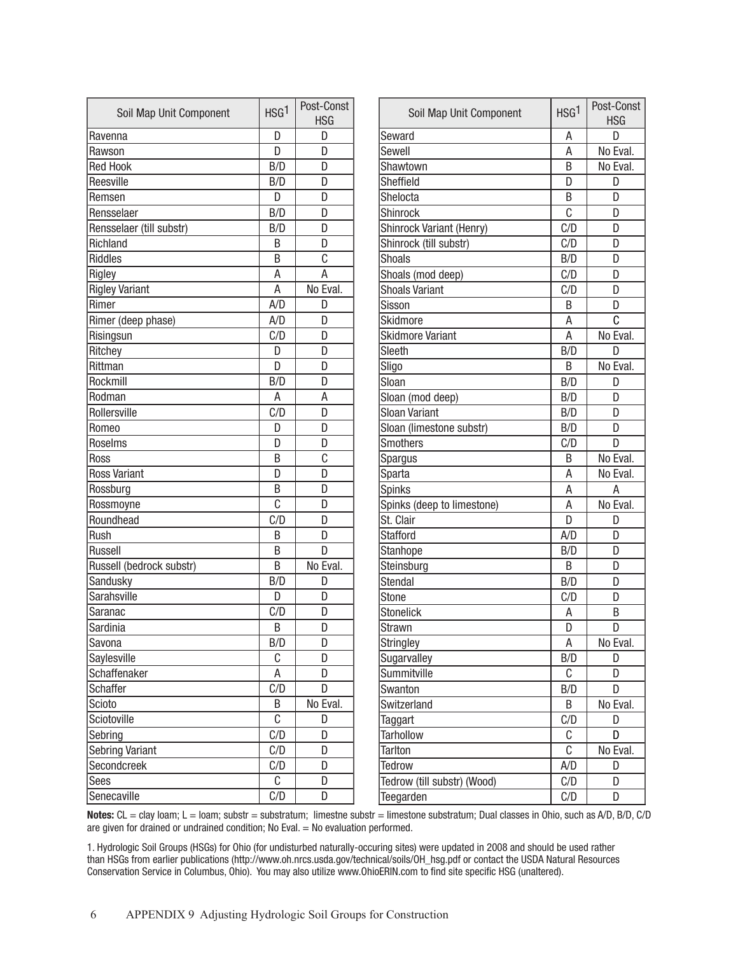| Soil Map Unit Component  | HSG <sup>1</sup> | Post-Const<br><b>HSG</b> | Soil Map Unit (         |
|--------------------------|------------------|--------------------------|-------------------------|
| Ravenna                  | D                | D                        | Seward                  |
| Rawson                   | D                | D                        | Sewell                  |
| <b>Red Hook</b>          | B/D              | D                        | Shawtown                |
| Reesville                | B/D              | D                        | Sheffield               |
| Remsen                   | D                | D                        | Shelocta                |
| Rensselaer               | B/D              | D                        | <b>Shinrock</b>         |
| Rensselaer (till substr) | B/D              | D                        | Shinrock Variant (Her   |
| Richland                 | B                | D                        | Shinrock (till substr)  |
| <b>Riddles</b>           | B                | C                        | <b>Shoals</b>           |
| Rigley                   | Α                | A                        | Shoals (mod deep)       |
| <b>Rigley Variant</b>    | A                | No Eval.                 | <b>Shoals Variant</b>   |
| Rimer                    | A/D              | D                        | Sisson                  |
| Rimer (deep phase)       | A/D              | D                        | Skidmore                |
| Risingsun                | C/D              | D                        | <b>Skidmore Variant</b> |
| Ritchey                  | D                | D                        | Sleeth                  |
| Rittman                  | D                | D                        | Sligo                   |
| Rockmill                 | B/D              | D                        | Sloan                   |
| Rodman                   | A                | Α                        | Sloan (mod deep)        |
| Rollersville             | C/D              | D                        | <b>Sloan Variant</b>    |
| Romeo                    | D                | D                        | Sloan (limestone sub    |
| Roselms                  | D                | D                        | <b>Smothers</b>         |
| Ross                     | B                | C                        | Spargus                 |
| <b>Ross Variant</b>      | D                | D                        | Sparta                  |
| Rossburg                 | B                | D                        | <b>Spinks</b>           |
| Rossmoyne                | C                | D                        | Spinks (deep to limes   |
| Roundhead                | C/D              | D                        | St. Clair               |
| Rush                     | B                | D                        | <b>Stafford</b>         |
| Russell                  | B                | D                        | Stanhope                |
| Russell (bedrock substr) | B                | No Eval.                 | Steinsburg              |
| Sandusky                 | B/D              | D                        | <b>Stendal</b>          |
| Sarahsville              | D                | D                        | <b>Stone</b>            |
| Saranac                  | C/D              | D                        | <b>Stonelick</b>        |
| Sardinia                 | B                | D                        | <b>Strawn</b>           |
| Savona                   | B/D              | D                        | <b>Stringley</b>        |
| Saylesville              | C                | D                        | Sugarvalley             |
| Schaffenaker             | Α                | D                        | Summitville             |
| Schaffer                 | C/D              | D                        | Swanton                 |
| Scioto                   | Β                | No Eval.                 | Switzerland             |
| Sciotoville              | C                | D                        | Taggart                 |
| Sebring                  | C/D              | D                        | <b>Tarhollow</b>        |
| <b>Sebring Variant</b>   | C/D              | D                        | <b>Tarlton</b>          |
| Secondcreek              | C/D              | D                        | Tedrow                  |
| Sees                     | C                | D                        | Tedrow (till substr) (V |
| Senecaville              | C/D              | D                        | Teegarden               |
|                          |                  |                          |                         |

| Soil Map Unit Component     | HSG <sup>1</sup> | Post-Const<br><b>HSG</b> |
|-----------------------------|------------------|--------------------------|
| Seward                      | Α                | D                        |
| Sewell                      | A                | No Eval.                 |
| Shawtown                    | B                | No Eval.                 |
| Sheffield                   | D                | D                        |
| Shelocta                    | Β                | D                        |
| <b>Shinrock</b>             | C                | D                        |
| Shinrock Variant (Henry)    | C/D              | D                        |
| Shinrock (till substr)      | C/D              | D                        |
| <b>Shoals</b>               | B/D              | D                        |
| Shoals (mod deep)           | C/D              | D                        |
| <b>Shoals Variant</b>       | C/D              | D                        |
| Sisson                      | B                | D                        |
| <b>Skidmore</b>             | Α                | C                        |
| <b>Skidmore Variant</b>     | Α                | No Eval.                 |
| Sleeth                      | B/D              | D                        |
| Sligo                       | B                | No Eval.                 |
| Sloan                       | B/D              | D                        |
| Sloan (mod deep)            | B/D              | D                        |
| Sloan Variant               | B/D              | D                        |
| Sloan (limestone substr)    | B/D              | D                        |
| <b>Smothers</b>             | C/D              | D                        |
| <b>Spargus</b>              | B                | No Eval.                 |
| Sparta                      | Α                | No Eval.                 |
| <b>Spinks</b>               | Α                | Α                        |
| Spinks (deep to limestone)  | Α                | No Eval.                 |
| St. Clair                   | D                | D                        |
| <b>Stafford</b>             | A/D              | D                        |
| <b>Stanhope</b>             | B/D              | D                        |
| Steinsburg                  | B                | D                        |
| <b>Stendal</b>              | B/D              | D                        |
| <b>Stone</b>                | C/D              | D                        |
| <b>Stonelick</b>            | Α                | B                        |
| <b>Strawn</b>               | D                | D                        |
| <b>Stringley</b>            | Α                | No Eval.                 |
| Sugarvalley                 | B/D              | D                        |
| Summitville                 | С                | D                        |
| Swanton                     | B/D              | D                        |
| Switzerland                 | B                | No Eval.                 |
| Taggart                     | C/D              | D                        |
| <b>Tarhollow</b>            | C                | D                        |
| <b>Tarlton</b>              | C                | No Eval.                 |
| <b>Tedrow</b>               | A/D              | D                        |
| Tedrow (till substr) (Wood) | C/D              | D                        |
| Teegarden                   | C/D              | D                        |

Notes: CL = clay loam; L = loam; substr = substratum; limestne substr = limestone substratum; Dual classes in Ohio, such as A/D, B/D, C/D are given for drained or undrained condition; No Eval. = No evaluation performed.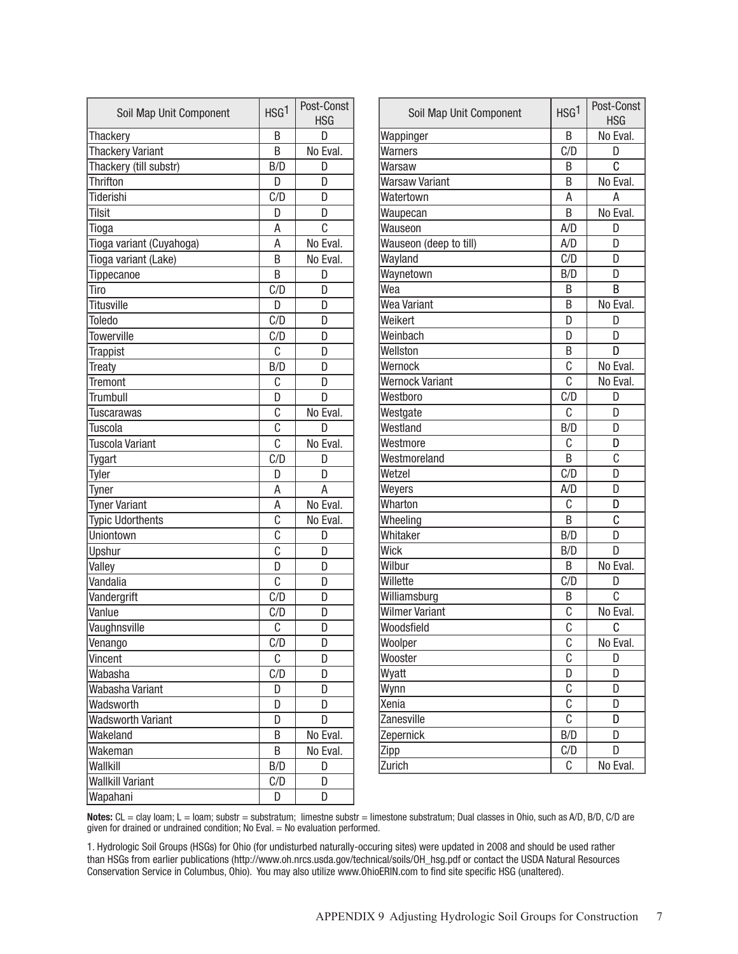| Thackery<br>B<br>D<br><b>Thackery Variant</b><br>No Eval.<br>B<br>Thackery (till substr)<br>B/D<br>D<br><b>Thrifton</b><br>D<br>D<br><b>Tiderishi</b><br>C/D<br>D<br>Tilsit<br>D<br>D<br>Ċ<br>Α<br>Tioga<br>A<br>No Eval.<br>Tioga variant (Cuyahoga)<br>No Eval.<br>Tioga variant (Lake)<br>B<br>B<br>Tippecanoe<br>D<br>C/D<br>Tiro<br>D<br><b>Titusville</b><br>D<br>D<br>C/D<br>Toledo<br>D<br><b>Towerville</b><br>C/D<br>D<br>Ċ<br><b>Trappist</b><br>D<br>B/D<br>Treaty<br>D<br>C<br>Tremont<br>D<br><b>Trumbull</b><br>D<br>D<br>C<br>No Eval.<br>Tuscarawas<br>C<br><b>Tuscola</b><br>D<br>$\overline{c}$<br>No Eval.<br>Tuscola Variant<br>C/D<br>Tygart<br>D<br>Tyler<br>D<br>D<br>A<br>A<br>Tyner<br><b>Tyner Variant</b><br>Α<br>No Eval.<br>$\overline{\mathfrak{c}}$<br><b>Typic Udorthents</b><br>No Eval.<br>$\overline{\mathfrak{c}}$<br>Uniontown<br>D<br>$\overline{\mathfrak{c}}$<br>Upshur<br>D<br>D<br>Valley<br>D<br>C<br>Vandalia<br>D<br>C/D<br>Vandergrift<br>D<br>Vanlue<br>C/D<br>D<br>C<br>Vaughnsville<br>D<br>Venango<br>C/D<br>D<br>C<br>Vincent<br>D<br>C/D<br>Wabasha<br>D<br>Wabasha Variant<br>D<br>D<br>Wadsworth<br>D<br>D<br><b>Wadsworth Variant</b><br>D<br>D<br>Wakeland<br>Β<br>No Eval.<br>Wakeman<br>В<br>No Eval.<br>Wallkill<br>B/D<br>D<br>C/D<br><b>Wallkill Variant</b><br>D | Soil Map Unit Component | HSG <sup>1</sup> | Post-Const<br><b>HSG</b> |
|---------------------------------------------------------------------------------------------------------------------------------------------------------------------------------------------------------------------------------------------------------------------------------------------------------------------------------------------------------------------------------------------------------------------------------------------------------------------------------------------------------------------------------------------------------------------------------------------------------------------------------------------------------------------------------------------------------------------------------------------------------------------------------------------------------------------------------------------------------------------------------------------------------------------------------------------------------------------------------------------------------------------------------------------------------------------------------------------------------------------------------------------------------------------------------------------------------------------------------------------------------------------------------------------------------------------------------|-------------------------|------------------|--------------------------|
|                                                                                                                                                                                                                                                                                                                                                                                                                                                                                                                                                                                                                                                                                                                                                                                                                                                                                                                                                                                                                                                                                                                                                                                                                                                                                                                                 |                         |                  |                          |
|                                                                                                                                                                                                                                                                                                                                                                                                                                                                                                                                                                                                                                                                                                                                                                                                                                                                                                                                                                                                                                                                                                                                                                                                                                                                                                                                 |                         |                  |                          |
|                                                                                                                                                                                                                                                                                                                                                                                                                                                                                                                                                                                                                                                                                                                                                                                                                                                                                                                                                                                                                                                                                                                                                                                                                                                                                                                                 |                         |                  |                          |
|                                                                                                                                                                                                                                                                                                                                                                                                                                                                                                                                                                                                                                                                                                                                                                                                                                                                                                                                                                                                                                                                                                                                                                                                                                                                                                                                 |                         |                  |                          |
|                                                                                                                                                                                                                                                                                                                                                                                                                                                                                                                                                                                                                                                                                                                                                                                                                                                                                                                                                                                                                                                                                                                                                                                                                                                                                                                                 |                         |                  |                          |
|                                                                                                                                                                                                                                                                                                                                                                                                                                                                                                                                                                                                                                                                                                                                                                                                                                                                                                                                                                                                                                                                                                                                                                                                                                                                                                                                 |                         |                  |                          |
|                                                                                                                                                                                                                                                                                                                                                                                                                                                                                                                                                                                                                                                                                                                                                                                                                                                                                                                                                                                                                                                                                                                                                                                                                                                                                                                                 |                         |                  |                          |
|                                                                                                                                                                                                                                                                                                                                                                                                                                                                                                                                                                                                                                                                                                                                                                                                                                                                                                                                                                                                                                                                                                                                                                                                                                                                                                                                 |                         |                  |                          |
|                                                                                                                                                                                                                                                                                                                                                                                                                                                                                                                                                                                                                                                                                                                                                                                                                                                                                                                                                                                                                                                                                                                                                                                                                                                                                                                                 |                         |                  |                          |
|                                                                                                                                                                                                                                                                                                                                                                                                                                                                                                                                                                                                                                                                                                                                                                                                                                                                                                                                                                                                                                                                                                                                                                                                                                                                                                                                 |                         |                  |                          |
|                                                                                                                                                                                                                                                                                                                                                                                                                                                                                                                                                                                                                                                                                                                                                                                                                                                                                                                                                                                                                                                                                                                                                                                                                                                                                                                                 |                         |                  |                          |
|                                                                                                                                                                                                                                                                                                                                                                                                                                                                                                                                                                                                                                                                                                                                                                                                                                                                                                                                                                                                                                                                                                                                                                                                                                                                                                                                 |                         |                  |                          |
|                                                                                                                                                                                                                                                                                                                                                                                                                                                                                                                                                                                                                                                                                                                                                                                                                                                                                                                                                                                                                                                                                                                                                                                                                                                                                                                                 |                         |                  |                          |
|                                                                                                                                                                                                                                                                                                                                                                                                                                                                                                                                                                                                                                                                                                                                                                                                                                                                                                                                                                                                                                                                                                                                                                                                                                                                                                                                 |                         |                  |                          |
|                                                                                                                                                                                                                                                                                                                                                                                                                                                                                                                                                                                                                                                                                                                                                                                                                                                                                                                                                                                                                                                                                                                                                                                                                                                                                                                                 |                         |                  |                          |
|                                                                                                                                                                                                                                                                                                                                                                                                                                                                                                                                                                                                                                                                                                                                                                                                                                                                                                                                                                                                                                                                                                                                                                                                                                                                                                                                 |                         |                  |                          |
|                                                                                                                                                                                                                                                                                                                                                                                                                                                                                                                                                                                                                                                                                                                                                                                                                                                                                                                                                                                                                                                                                                                                                                                                                                                                                                                                 |                         |                  |                          |
|                                                                                                                                                                                                                                                                                                                                                                                                                                                                                                                                                                                                                                                                                                                                                                                                                                                                                                                                                                                                                                                                                                                                                                                                                                                                                                                                 |                         |                  |                          |
|                                                                                                                                                                                                                                                                                                                                                                                                                                                                                                                                                                                                                                                                                                                                                                                                                                                                                                                                                                                                                                                                                                                                                                                                                                                                                                                                 |                         |                  |                          |
|                                                                                                                                                                                                                                                                                                                                                                                                                                                                                                                                                                                                                                                                                                                                                                                                                                                                                                                                                                                                                                                                                                                                                                                                                                                                                                                                 |                         |                  |                          |
|                                                                                                                                                                                                                                                                                                                                                                                                                                                                                                                                                                                                                                                                                                                                                                                                                                                                                                                                                                                                                                                                                                                                                                                                                                                                                                                                 |                         |                  |                          |
|                                                                                                                                                                                                                                                                                                                                                                                                                                                                                                                                                                                                                                                                                                                                                                                                                                                                                                                                                                                                                                                                                                                                                                                                                                                                                                                                 |                         |                  |                          |
|                                                                                                                                                                                                                                                                                                                                                                                                                                                                                                                                                                                                                                                                                                                                                                                                                                                                                                                                                                                                                                                                                                                                                                                                                                                                                                                                 |                         |                  |                          |
|                                                                                                                                                                                                                                                                                                                                                                                                                                                                                                                                                                                                                                                                                                                                                                                                                                                                                                                                                                                                                                                                                                                                                                                                                                                                                                                                 |                         |                  |                          |
|                                                                                                                                                                                                                                                                                                                                                                                                                                                                                                                                                                                                                                                                                                                                                                                                                                                                                                                                                                                                                                                                                                                                                                                                                                                                                                                                 |                         |                  |                          |
|                                                                                                                                                                                                                                                                                                                                                                                                                                                                                                                                                                                                                                                                                                                                                                                                                                                                                                                                                                                                                                                                                                                                                                                                                                                                                                                                 |                         |                  |                          |
|                                                                                                                                                                                                                                                                                                                                                                                                                                                                                                                                                                                                                                                                                                                                                                                                                                                                                                                                                                                                                                                                                                                                                                                                                                                                                                                                 |                         |                  |                          |
|                                                                                                                                                                                                                                                                                                                                                                                                                                                                                                                                                                                                                                                                                                                                                                                                                                                                                                                                                                                                                                                                                                                                                                                                                                                                                                                                 |                         |                  |                          |
|                                                                                                                                                                                                                                                                                                                                                                                                                                                                                                                                                                                                                                                                                                                                                                                                                                                                                                                                                                                                                                                                                                                                                                                                                                                                                                                                 |                         |                  |                          |
|                                                                                                                                                                                                                                                                                                                                                                                                                                                                                                                                                                                                                                                                                                                                                                                                                                                                                                                                                                                                                                                                                                                                                                                                                                                                                                                                 |                         |                  |                          |
|                                                                                                                                                                                                                                                                                                                                                                                                                                                                                                                                                                                                                                                                                                                                                                                                                                                                                                                                                                                                                                                                                                                                                                                                                                                                                                                                 |                         |                  |                          |
|                                                                                                                                                                                                                                                                                                                                                                                                                                                                                                                                                                                                                                                                                                                                                                                                                                                                                                                                                                                                                                                                                                                                                                                                                                                                                                                                 |                         |                  |                          |
|                                                                                                                                                                                                                                                                                                                                                                                                                                                                                                                                                                                                                                                                                                                                                                                                                                                                                                                                                                                                                                                                                                                                                                                                                                                                                                                                 |                         |                  |                          |
|                                                                                                                                                                                                                                                                                                                                                                                                                                                                                                                                                                                                                                                                                                                                                                                                                                                                                                                                                                                                                                                                                                                                                                                                                                                                                                                                 |                         |                  |                          |
|                                                                                                                                                                                                                                                                                                                                                                                                                                                                                                                                                                                                                                                                                                                                                                                                                                                                                                                                                                                                                                                                                                                                                                                                                                                                                                                                 |                         |                  |                          |
|                                                                                                                                                                                                                                                                                                                                                                                                                                                                                                                                                                                                                                                                                                                                                                                                                                                                                                                                                                                                                                                                                                                                                                                                                                                                                                                                 |                         |                  |                          |
|                                                                                                                                                                                                                                                                                                                                                                                                                                                                                                                                                                                                                                                                                                                                                                                                                                                                                                                                                                                                                                                                                                                                                                                                                                                                                                                                 |                         |                  |                          |
|                                                                                                                                                                                                                                                                                                                                                                                                                                                                                                                                                                                                                                                                                                                                                                                                                                                                                                                                                                                                                                                                                                                                                                                                                                                                                                                                 |                         |                  |                          |
|                                                                                                                                                                                                                                                                                                                                                                                                                                                                                                                                                                                                                                                                                                                                                                                                                                                                                                                                                                                                                                                                                                                                                                                                                                                                                                                                 |                         |                  |                          |
|                                                                                                                                                                                                                                                                                                                                                                                                                                                                                                                                                                                                                                                                                                                                                                                                                                                                                                                                                                                                                                                                                                                                                                                                                                                                                                                                 |                         |                  |                          |
|                                                                                                                                                                                                                                                                                                                                                                                                                                                                                                                                                                                                                                                                                                                                                                                                                                                                                                                                                                                                                                                                                                                                                                                                                                                                                                                                 |                         |                  |                          |
|                                                                                                                                                                                                                                                                                                                                                                                                                                                                                                                                                                                                                                                                                                                                                                                                                                                                                                                                                                                                                                                                                                                                                                                                                                                                                                                                 |                         |                  |                          |
|                                                                                                                                                                                                                                                                                                                                                                                                                                                                                                                                                                                                                                                                                                                                                                                                                                                                                                                                                                                                                                                                                                                                                                                                                                                                                                                                 |                         |                  |                          |
|                                                                                                                                                                                                                                                                                                                                                                                                                                                                                                                                                                                                                                                                                                                                                                                                                                                                                                                                                                                                                                                                                                                                                                                                                                                                                                                                 | Wapahani                | D                | D                        |

| Soil Map Unit Component | HSG <sup>1</sup>          | Post-Const<br><b>HSG</b> |
|-------------------------|---------------------------|--------------------------|
| Wappinger               | B                         | No Eval.                 |
| Warners                 | C/D                       | D                        |
| Warsaw                  | B                         | C                        |
| <b>Warsaw Variant</b>   | B                         | No Eval.                 |
| Watertown               | A                         | Α                        |
| Waupecan                | B                         | No Eval.                 |
| Wauseon                 | A/D                       | D                        |
| Wauseon (deep to till)  | A/D                       | D                        |
| Wayland                 | C/D                       | D                        |
| Waynetown               | B/D                       | D                        |
| Wea                     | B                         | B                        |
| <b>Wea Variant</b>      | B                         | No Eval.                 |
| Weikert                 | D                         | D                        |
| Weinbach                | D                         | D                        |
| Wellston                | B                         | D                        |
| Wernock                 | C                         | No Eval.                 |
| <b>Wernock Variant</b>  | Ċ                         | No Eval.                 |
| Westboro                | C/D                       | D                        |
| Westgate                | C                         | D                        |
| Westland                | B/D                       | D                        |
| Westmore                | C                         | D                        |
| Westmoreland            | B                         | C                        |
| Wetzel                  | C/D                       | D                        |
| Weyers                  | A/D                       | D                        |
| Wharton                 | C                         | D                        |
| Wheeling                | B                         | C                        |
| Whitaker                | B/D                       | D                        |
| Wick                    | B/D                       | D                        |
| Wilbur                  | B                         | No Eval.                 |
| Willette                | C/D                       | D                        |
| Williamsburg            | B                         | C                        |
| <b>Wilmer Variant</b>   | С                         | No Eval.                 |
| Woodsfield              | Ċ                         | C                        |
| Woolper                 | C                         | No Eval.                 |
| Wooster                 | $\overline{\mathfrak{c}}$ | D                        |
| Wyatt                   | D                         | D                        |
| Wynn                    | $\overline{c}$            | D                        |
| Xenia                   | $\overline{c}$            | D                        |
| Zanesville              | $\overline{\mathfrak{c}}$ | D                        |
| Zepernick               | B/D                       | D                        |
| Zipp                    | C/D                       | D                        |
| Zurich                  | С                         | No Eval.                 |

Notes: CL = clay loam; L = loam; substr = substratum; limestne substr = limestone substratum; Dual classes in Ohio, such as A/D, B/D, C/D are given for drained or undrained condition; No Eval. = No evaluation performed.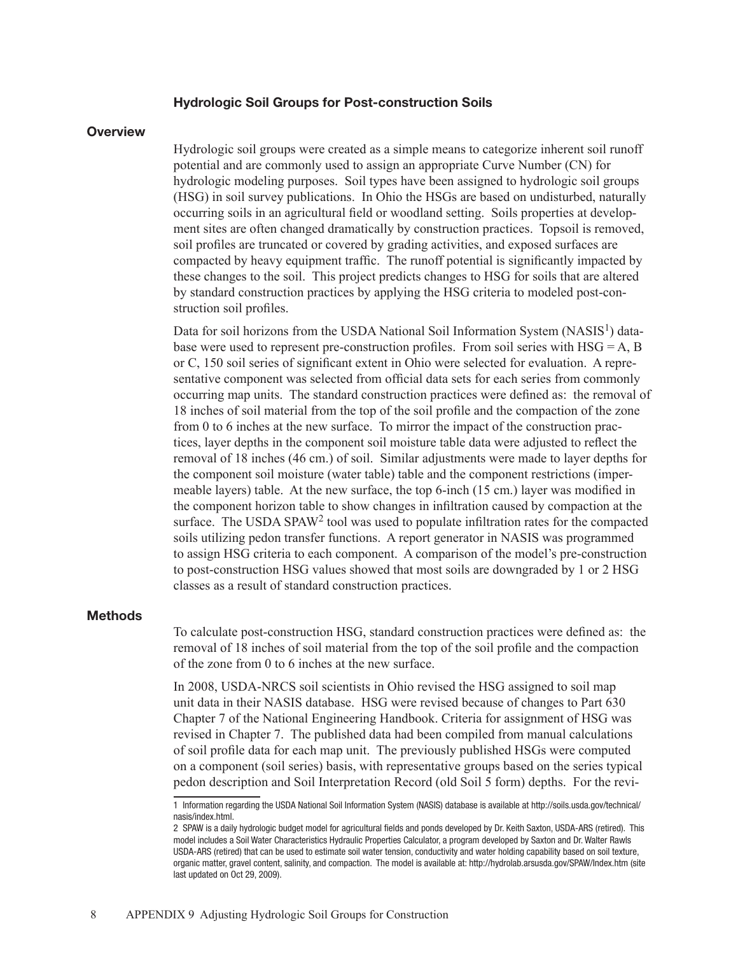## Hydrologic Soil Groups for Post-construction Soils

## **Overview**

Hydrologic soil groups were created as a simple means to categorize inherent soil runoff potential and are commonly used to assign an appropriate Curve Number (CN) for hydrologic modeling purposes. Soil types have been assigned to hydrologic soil groups (HSG) in soil survey publications. In Ohio the HSGs are based on undisturbed, naturally occurring soils in an agricultural field or woodland setting. Soils properties at development sites are often changed dramatically by construction practices. Topsoil is removed, soil profiles are truncated or covered by grading activities, and exposed surfaces are compacted by heavy equipment traffic. The runoff potential is significantly impacted by these changes to the soil. This project predicts changes to HSG for soils that are altered by standard construction practices by applying the HSG criteria to modeled post-construction soil profiles.

Data for soil horizons from the USDA National Soil Information System (NASIS<sup>1</sup>) database were used to represent pre-construction profiles. From soil series with  $HSG = A$ , B or C, 150 soil series of significant extent in Ohio were selected for evaluation. A representative component was selected from official data sets for each series from commonly occurring map units. The standard construction practices were defined as: the removal of 18 inches of soil material from the top of the soil profile and the compaction of the zone from 0 to 6 inches at the new surface. To mirror the impact of the construction practices, layer depths in the component soil moisture table data were adjusted to reflect the removal of 18 inches (46 cm.) of soil. Similar adjustments were made to layer depths for the component soil moisture (water table) table and the component restrictions (impermeable layers) table. At the new surface, the top 6-inch (15 cm.) layer was modified in the component horizon table to show changes in infiltration caused by compaction at the surface. The USDA SPAW<sup>2</sup> tool was used to populate infiltration rates for the compacted soils utilizing pedon transfer functions. A report generator in NASIS was programmed to assign HSG criteria to each component. A comparison of the model's pre-construction to post-construction HSG values showed that most soils are downgraded by 1 or 2 HSG classes as a result of standard construction practices.

## **Methods**

To calculate post-construction HSG, standard construction practices were defined as: the removal of 18 inches of soil material from the top of the soil profile and the compaction of the zone from 0 to 6 inches at the new surface.

In 2008, USDA-NRCS soil scientists in Ohio revised the HSG assigned to soil map unit data in their NASIS database. HSG were revised because of changes to Part 630 Chapter 7 of the National Engineering Handbook. Criteria for assignment of HSG was revised in Chapter 7. The published data had been compiled from manual calculations of soil profile data for each map unit. The previously published HSGs were computed on a component (soil series) basis, with representative groups based on the series typical pedon description and Soil Interpretation Record (old Soil 5 form) depths. For the revi-

<sup>1</sup> Information regarding the USDA National Soil Information System (NASIS) database is available at http://soils.usda.gov/technical/ nasis/index.html.

<sup>2</sup> SPAW is a daily hydrologic budget model for agricultural fields and ponds developed by Dr. Keith Saxton, USDA-ARS (retired). This model includes a Soil Water Characteristics Hydraulic Properties Calculator, a program developed by Saxton and Dr. Walter Rawls USDA-ARS (retired) that can be used to estimate soil water tension, conductivity and water holding capability based on soil texture, organic matter, gravel content, salinity, and compaction. The model is available at: http://hydrolab.arsusda.gov/SPAW/Index.htm (site last updated on Oct 29, 2009).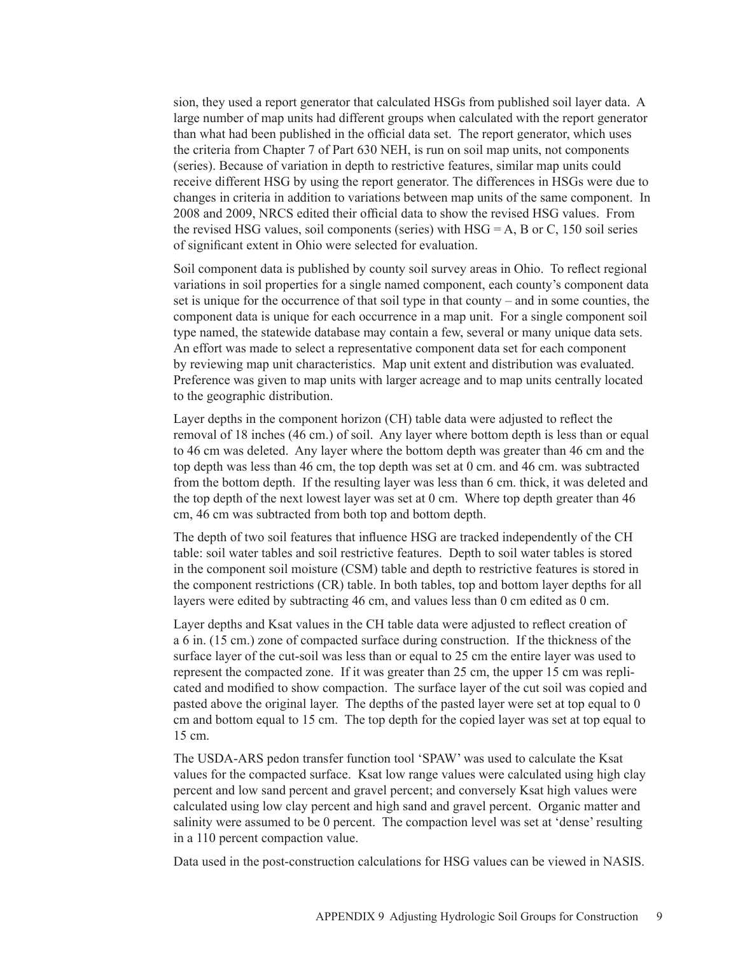sion, they used a report generator that calculated HSGs from published soil layer data. A large number of map units had different groups when calculated with the report generator than what had been published in the official data set. The report generator, which uses the criteria from Chapter 7 of Part 630 NEH, is run on soil map units, not components (series). Because of variation in depth to restrictive features, similar map units could receive different HSG by using the report generator. The differences in HSGs were due to changes in criteria in addition to variations between map units of the same component. In 2008 and 2009, NRCS edited their official data to show the revised HSG values. From the revised HSG values, soil components (series) with  $HSG = A$ , B or C, 150 soil series of significant extent in Ohio were selected for evaluation.

Soil component data is published by county soil survey areas in Ohio. To reflect regional variations in soil properties for a single named component, each county's component data set is unique for the occurrence of that soil type in that county – and in some counties, the component data is unique for each occurrence in a map unit. For a single component soil type named, the statewide database may contain a few, several or many unique data sets. An effort was made to select a representative component data set for each component by reviewing map unit characteristics. Map unit extent and distribution was evaluated. Preference was given to map units with larger acreage and to map units centrally located to the geographic distribution.

Layer depths in the component horizon (CH) table data were adjusted to reflect the removal of 18 inches (46 cm.) of soil. Any layer where bottom depth is less than or equal to 46 cm was deleted. Any layer where the bottom depth was greater than 46 cm and the top depth was less than 46 cm, the top depth was set at 0 cm. and 46 cm. was subtracted from the bottom depth. If the resulting layer was less than 6 cm. thick, it was deleted and the top depth of the next lowest layer was set at 0 cm. Where top depth greater than 46 cm, 46 cm was subtracted from both top and bottom depth.

The depth of two soil features that influence HSG are tracked independently of the CH table: soil water tables and soil restrictive features. Depth to soil water tables is stored in the component soil moisture (CSM) table and depth to restrictive features is stored in the component restrictions (CR) table. In both tables, top and bottom layer depths for all layers were edited by subtracting 46 cm, and values less than 0 cm edited as 0 cm.

Layer depths and Ksat values in the CH table data were adjusted to reflect creation of a 6 in. (15 cm.) zone of compacted surface during construction. If the thickness of the surface layer of the cut-soil was less than or equal to 25 cm the entire layer was used to represent the compacted zone. If it was greater than 25 cm, the upper 15 cm was replicated and modified to show compaction. The surface layer of the cut soil was copied and pasted above the original layer. The depths of the pasted layer were set at top equal to 0 cm and bottom equal to 15 cm. The top depth for the copied layer was set at top equal to 15 cm.

The USDA-ARS pedon transfer function tool 'SPAW' was used to calculate the Ksat values for the compacted surface. Ksat low range values were calculated using high clay percent and low sand percent and gravel percent; and conversely Ksat high values were calculated using low clay percent and high sand and gravel percent. Organic matter and salinity were assumed to be 0 percent. The compaction level was set at 'dense' resulting in a 110 percent compaction value.

Data used in the post-construction calculations for HSG values can be viewed in NASIS.